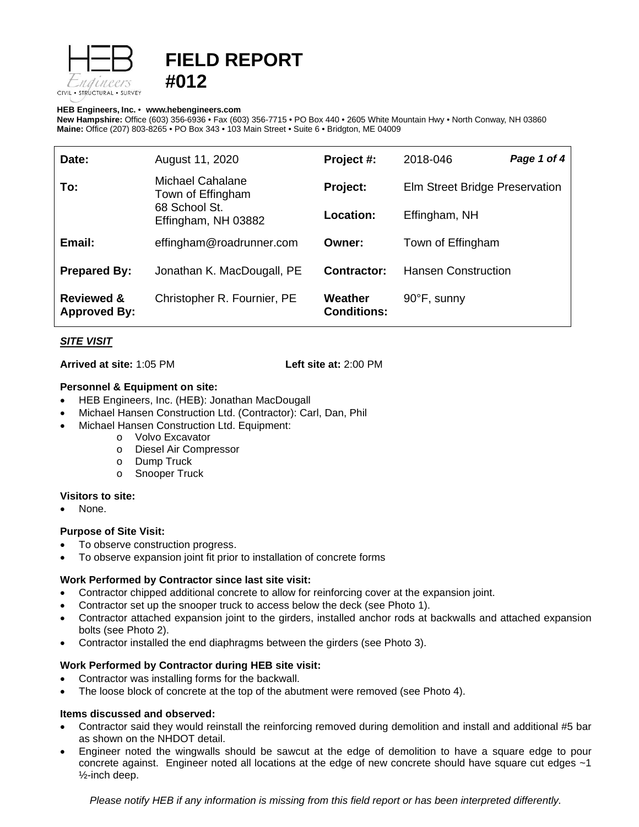

# **FIELD REPORT #012**

#### **HEB Engineers, Inc.** • **[www.hebengineer](http://www.hebengineers.com/)s.com**

**New Hampshire:** Office (603) 356-6936 • Fax (603) 356-7715 • PO Box 440 • 2605 White Mountain Hwy • North Conway, NH 03860 **Maine:** Office (207) 803-8265 • PO Box 343 • 103 Main Street • Suite 6 • Bridgton, ME 04009

| Date:                                        | August 11, 2020                                                               | Project #:                    | 2018-046                       | Page 1 of 4 |
|----------------------------------------------|-------------------------------------------------------------------------------|-------------------------------|--------------------------------|-------------|
| To:                                          | Michael Cahalane<br>Town of Effingham<br>68 School St.<br>Effingham, NH 03882 | Project:                      | Elm Street Bridge Preservation |             |
|                                              |                                                                               | <b>Location:</b>              | Effingham, NH                  |             |
| Email:                                       | effingham@roadrunner.com                                                      | Owner:                        | Town of Effingham              |             |
| <b>Prepared By:</b>                          | Jonathan K. MacDougall, PE                                                    | Contractor:                   | <b>Hansen Construction</b>     |             |
| <b>Reviewed &amp;</b><br><b>Approved By:</b> | Christopher R. Fournier, PE                                                   | Weather<br><b>Conditions:</b> | 90°F, sunny                    |             |

# *SITE VISIT*

**Arrived at site:** 1:05 PM **Left site at:** 2:00 PM

## **Personnel & Equipment on site:**

- HEB Engineers, Inc. (HEB): Jonathan MacDougall
- Michael Hansen Construction Ltd. (Contractor): Carl, Dan, Phil
- Michael Hansen Construction Ltd. Equipment:
	- o Volvo Excavator
	- o Diesel Air Compressor
	-
	- o Dump Truck<br>
	o Snooper True **Snooper Truck**

## **Visitors to site:**

None.

## **Purpose of Site Visit:**

- To observe construction progress.
- To observe expansion joint fit prior to installation of concrete forms

# **Work Performed by Contractor since last site visit:**

- Contractor chipped additional concrete to allow for reinforcing cover at the expansion joint.
- Contractor set up the snooper truck to access below the deck (see Photo 1).
- Contractor attached expansion joint to the girders, installed anchor rods at backwalls and attached expansion bolts (see Photo 2).
- Contractor installed the end diaphragms between the girders (see Photo 3).

# **Work Performed by Contractor during HEB site visit:**

- Contractor was installing forms for the backwall.
- The loose block of concrete at the top of the abutment were removed (see Photo 4).

# **Items discussed and observed:**

- Contractor said they would reinstall the reinforcing removed during demolition and install and additional #5 bar as shown on the NHDOT detail.
- Engineer noted the wingwalls should be sawcut at the edge of demolition to have a square edge to pour concrete against. Engineer noted all locations at the edge of new concrete should have square cut edges ~1 ½-inch deep.

*Please notify HEB if any information is missing from this field report or has been interpreted differently.*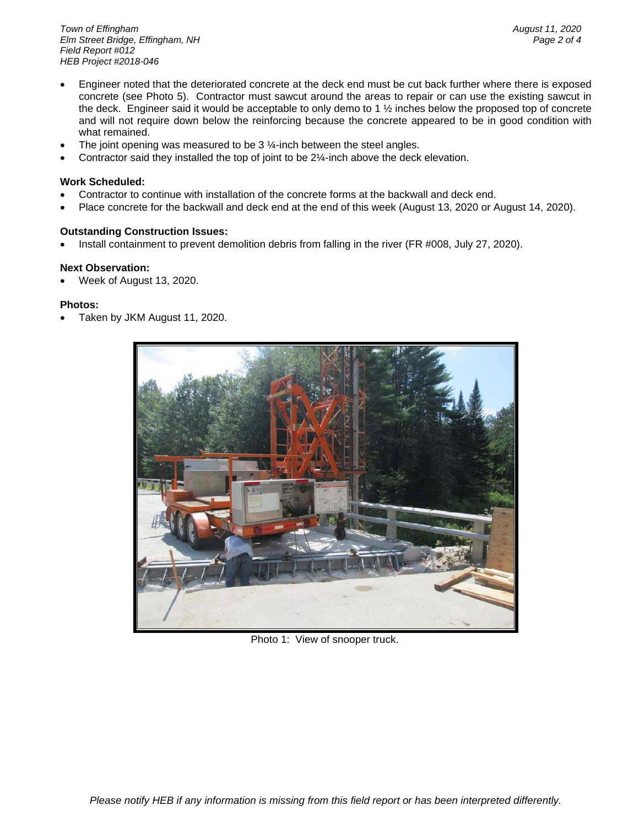*Town of Effingham August 11, 2020 <i>Elm Street Bridge, Effingham, NH Field Report #012 HEB Project #2018-046*

- Engineer noted that the deteriorated concrete at the deck end must be cut back further where there is exposed concrete (see Photo 5). Contractor must sawcut around the areas to repair or can use the existing sawcut in the deck. Engineer said it would be acceptable to only demo to 1 ½ inches below the proposed top of concrete and will not require down below the reinforcing because the concrete appeared to be in good condition with what remained.
- The joint opening was measured to be  $3\frac{1}{4}$ -inch between the steel angles.
- Contractor said they installed the top of joint to be 2¼-inch above the deck elevation.

## **Work Scheduled:**

- Contractor to continue with installation of the concrete forms at the backwall and deck end.
- Place concrete for the backwall and deck end at the end of this week (August 13, 2020 or August 14, 2020).

# **Outstanding Construction Issues:**

• Install containment to prevent demolition debris from falling in the river (FR #008, July 27, 2020).

# **Next Observation:**

• Week of August 13, 2020.

# **Photos:**

• Taken by JKM August 11, 2020.



Photo 1: View of snooper truck.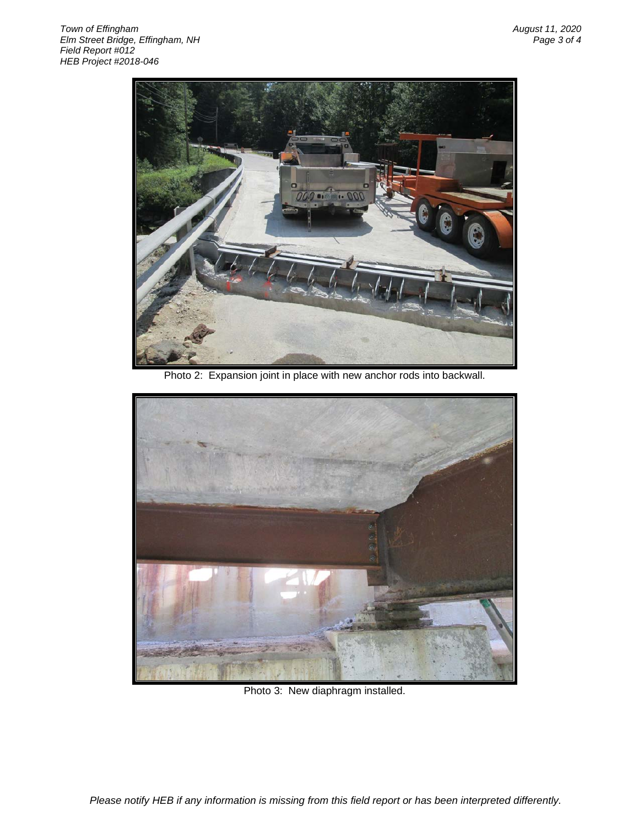

Photo 2: Expansion joint in place with new anchor rods into backwall.



Photo 3: New diaphragm installed.